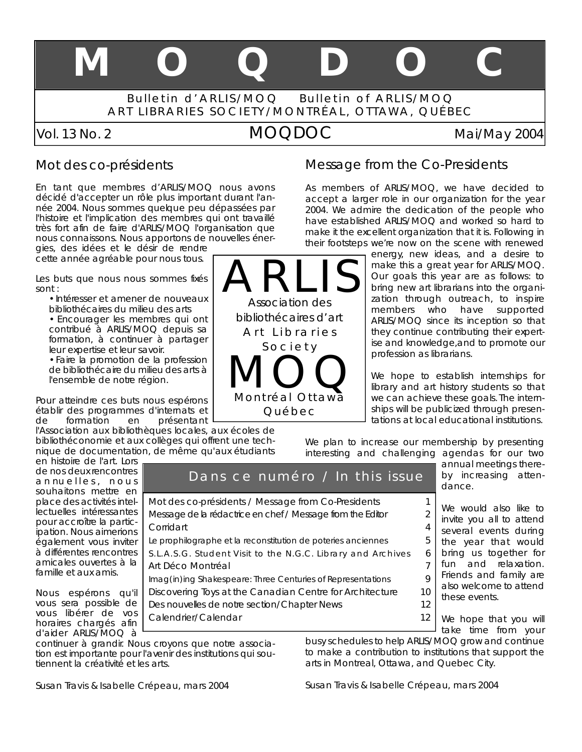# **M O Q D O C**

Bulletin d'ARLIS/MOQ Bulletin of ARLIS/MOQ ART LIBRARIES SOCIETY/MONTRÉAL, OTTAWA, QUÉBEC

# *Vol. 13 No. 2* MOQDOC *Mai/May 2004*

#### Mot des co-présidents

En tant que membres d'ARLIS/MOQ nous avons décidé d'accepter un rôle plus important durant l'année 2004. Nous sommes quelque peu dépassées par l'histoire et l'implication des membres qui ont travaillé très fort afin de faire d'ARLIS/MOQ l'organisation que nous connaissons. Nous apportons de nouvelles éner-

gies, des idées et le désir de rendre cette année agréable pour nous tous.

Les buts que nous nous sommes fixés sont :

- Intéresser et amener de nouveaux
- bibliothécaires du milieu des arts • Encourager les membres qui ont
- contribué à ARLIS/MOQ depuis sa formation, à continuer à partager leur expertise et leur savoir.

• Faire la promotion de la profession de bibliothécaire du milieu des arts à l'ensemble de notre région.

Pour atteindre ces buts nous espérons établir des programmes d'internats et de formation en présentant

l'Association aux bibliothèques locales, aux écoles de bibliothéconomie et aux collèges qui offrent une technique de documentation, de même qu'aux étudiants

en histoire de l'art. Lors de nos deux rencontres annuelles, nous souhaitons mettre en place des activités intellectuelles intéressantes pour accroître la participation. Nous aimerions également vous inviter à différentes rencontres amicales ouvertes à la famille et aux amis.

Nous espérons qu'il vous sera possible de vous libérer de vos horaires chargés afin d'aider ARLIS/MOQ à

continuer à grandir. Nous croyons que notre association est importante pour l'avenir des institutions qui soutiennent la créativité et les arts.



Dans ce numéro / In this issue

#### Message from the Co-Presidents

As members of ARLIS/MOQ, we have decided to accept a larger role in our organization for the year 2004. We admire the dedication of the people who have established ARLIS/MOQ and worked so hard to make it the excellent organization that it is. Following in their footsteps we're now on the scene with renewed

energy, new ideas, and a desire to make this a great year for ARLIS/MOQ. Our goals this year are as follows: to bring new art librarians into the organization through outreach, to inspire members who have supported ARLIS/MOQ since its inception so that they continue contributing their expertise and knowledge,and to promote our profession as librarians.

We hope to establish internships for library and art history students so that we can achieve these goals. The internships will be publicized through presentations at local educational institutions.

We plan to increase our membership by presenting interesting and challenging agendas for our two

annual meetings thereby increasing attendance.

We would also like to invite you all to attend several events during the year that would bring us together for fun and relaxation. Friends and family are also welcome to attend these events. *Mot des co-présidents / Message from Co-Presidents 1 Message de la rédactrice en chef / Message from the Editor 2 Corridart 4 Le prophilographe et la reconstitution de poteries anciennes 5 S.L.A.S.G. Student Visit to the N.G.C. Library and Archives* 6 *Art Déco Montréal 7 Imag(in)ing Shakespeare: Three Centuries of Representations 9 Discovering Toys at the Canadian Centre for Architecture 10 Des nouvelles de notre section/Chapter News 1 2*

We hope that you will take time from your *Calendrier/Calendar 12*

busy schedules to help ARLIS/MOQ grow and continue to make a contribution to institutions that support the arts in Montreal, Ottawa, and Quebec City.

#### Susan Travis & Isabelle Crépeau, mars 2004

#### Susan Travis & Isabelle Crépeau, mars 2004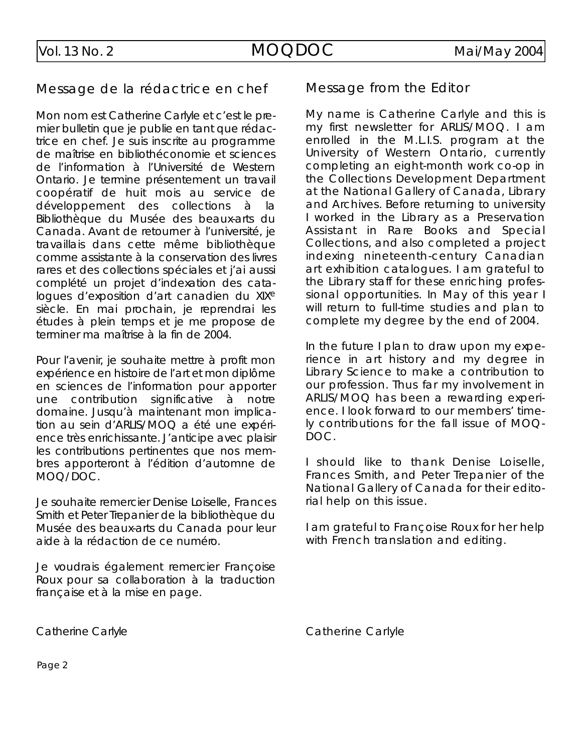#### Message de la rédactrice en chef

Mon nom est Catherine Carlyle et c'est le premier bulletin que je publie en tant que rédactrice en chef. Je suis inscrite au programme de maîtrise en bibliothéconomie et sciences de l'information à l'Université de Western Ontario. Je termine présentement un travail coopératif de huit mois au service de développement des collections à la Bibliothèque du Musée des beaux-arts du Canada. Avant de retourner à l'université, je travaillais dans cette même bibliothèque comme assistante à la conservation des livres rares et des collections spéciales et j'ai aussi complété un projet d'indexation des cataloques d'exposition d'art canadien du XIX<sup>e</sup> siècle. En mai prochain, je reprendrai les études à plein temps et je me propose de terminer ma maîtrise à la fin de 2004.

Pour l'avenir, je souhaite mettre à profit mon expérience en histoire de l'art et mon diplôme en sciences de l'information pour apporter une contribution significative à notre domaine. Jusqu'à maintenant mon implication au sein d'ARLIS/MOQ a été une expérience très enrichissante. J'anticipe avec plaisir les contributions pertinentes que nos membres apporteront à l'édition d'automne de MOQ/DOC.

Je souhaite remercier Denise Loiselle, Frances Smith et Peter Trepanier de la bibliothèque du Musée des beaux-arts du Canada pour leur aide à la rédaction de ce numéro.

Je voudrais également remercier Françoise Roux pour sa collaboration à la traduction française et à la mise en page.

### Message from the Editor

My name is Catherine Carlyle and this is my first newsletter for ARLIS/MOQ. I am enrolled in the M.L.I.S. program at the University of Western Ontario, currently completing an eight-month work co-op in the Collections Development Department at the National Gallery of Canada, Library and Archives. Before returning to university I worked in the Library as a Preservation Assistant in Rare Books and Special Collections, and also completed a project indexing nineteenth-century Canadian art exhibition catalogues. I am grateful to the Library staff for these enriching professional opportunities. In May of this year I will return to full-time studies and plan to complete my degree by the end of 2004.

In the future I plan to draw upon my experience in art history and my degree in Library Science to make a contribution to our profession. Thus far my involvement in ARLIS/MOQ has been a rewarding experience. I look forward to our members' timely contributions for the fall issue of MOQ-DOC.

I should like to thank Denise Loiselle, Frances Smith, and Peter Trepanier of the National Gallery of Canada for their editorial help on this issue.

I am grateful to Françoise Roux for her help with French translation and editing.

Catherine Carlyle

Catherine Carlyle

Page 2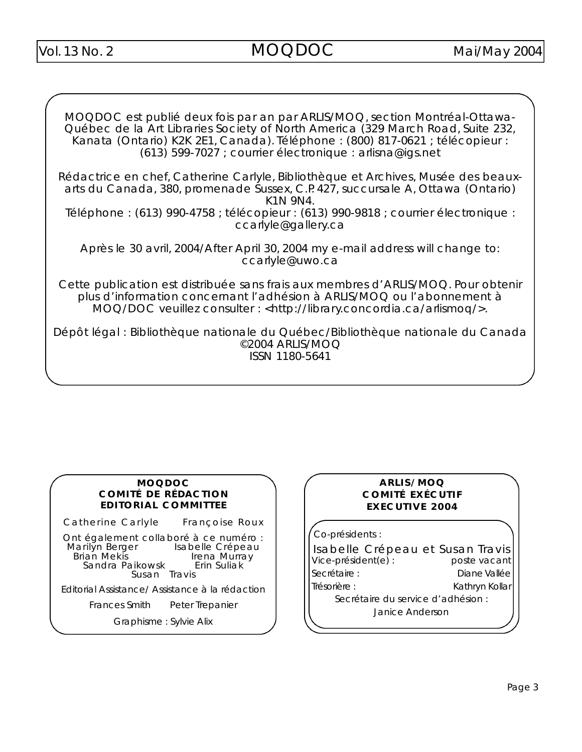MOQDOC est publié deux fois par an par ARLIS/MOQ, section Montréal-Ottawa-Québec de la Art Libraries Society of North America (329 March Road, Suite 232, Kanata (Ontario) K2K 2E1, Canada). Téléphone : (800) 817-0621 ; télécopieur :  $(613)$  599-7027 ; courrier électronique : arlis na @ iqs. n et

Rédactrice en chef, Catherine Carlyle, Bibliothèque et Archives, Musée des beauxarts du Canada, 380, promenade Sussex, C.P. 427, succursale A, Ottawa (Ontario) K1N 9N4.

Téléphone : (613) 990-4758 ; télécopieur : (613) 990-9818 ; courrier électronique : ccarlyle@gallery.ca

Après le 30 avril, 2004/After April 30, 2004 my e-mail address will change to: ccarlyle@uwo.ca

Cette publication est distribuée sans frais aux membres d'ARLIS/MOQ. Pour obtenir plus d'information concernant l'adhésion à ARLIS/MOQ ou l'abonnement à MOQ/DOC veuillez consulter : <http://library.concordia.ca/arlismoq/>.

Dépôt légal : Bibliothèque nationale du Québec/Bibliothèque nationale du Canada  $@2004$  ARLIS/MOQ ISSN 1180-5641

#### **M O Q D O C COMITÉ DE RÉDACTION EDITORIAL COMMITTEE**

Catherine Carlyle Françoise Roux

Ont également collaboré à ce numéro :<br>Marilyn Berger lsabelle Crépeau 1arilyn Berger Isabelle Crépeau<br>Brian Mekis Irena Murray Irena Murray<br>Erin Suliak Sandra Paikowsk Susan Travis

Editorial Assistance/ Assistance à la rédaction

Frances Smith Peter Trepanier

Graphisme : Sylvie Alix

#### **A R L I S / M O Q COMITÉ EXÉCUTIF EXECUTIVE 2004**

Co-présidents :

Isabelle Crépeau et Susan Travis<br>Vice-président(e) : poste vacant  $Vice\text{-}président(e)$  : Secrétaire : **Diane Vallée** Trésorière : Kathryn Kollar Secrétaire du service d'adhésion : Janice Anderson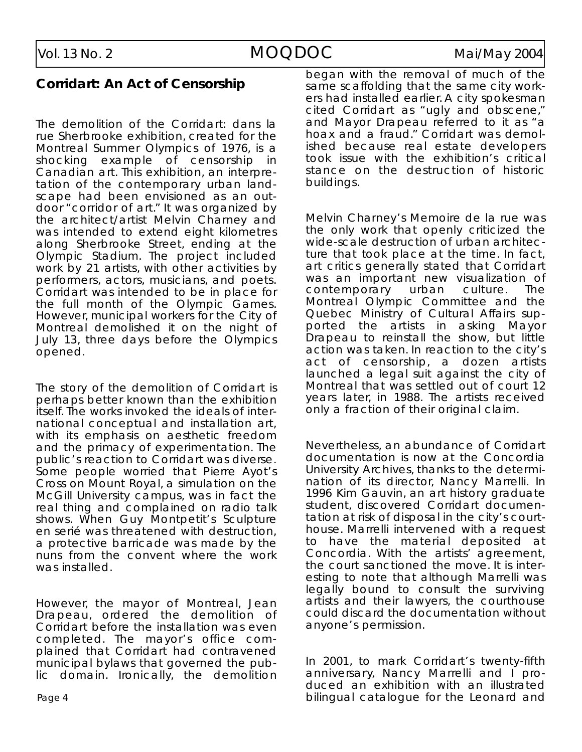#### **Corridart: An Act of Censorship**

The demolition of the *Corridart: dans la rue Sherbrooke* exhibition, created for the Montreal Summer Olympics of 1976, is a shocking example of censorship in Canadian art. This exhibition, an interpretation of the contemporary urban landscape had been envisioned as an outdoor "corridor of art." It was organized by the architect/artist Melvin Charney and was intended to extend eight kilometres along Sherbrooke Street, ending at the Olympic Stadium. The project included work by 21 artists, with other activities by p er formers, actors, musicians, and poets. Corridart was intended to be in place for the full month of the Olympic Games. However, municipal workers for the City of Montreal demolished it on the night of July 13, three days before the Olympics o p e n e d.

The story of the demolition of *Corridart* is perhaps better known than the exhibition itself. The works invoked the ideals of international conceptual and installation art, with its emphasis on aesthetic freedom and the primacy of experimentation. The public's reaction to *Corridart* was diverse. Some people worried that Pierre Ayot's *C ross on Mount Roya l*, a simulation on the McGill University campus, was in fact the real thing and complained on radio talk shows. When Guy Montpetit's *Sculpture en serié* was threatened with destruction, a protective barricade was made by the nuns from the convent where the work was installed.

However, the mayor of Montreal, Jean Drapeau, ordered the demolition of *Corridart* before the installation was even completed. The mayor's office complained that *Corridart* had contravened municipal bylaws that governed the public domain. Ironically, the demolition

began with the removal of much of the same scaffolding that the same city workers had installed earlier. A city spokesman cited *Corridart* as "ugly and obscene," and Mayor Drapeau referred to it as "a hoax and a fraud." Corridart was demolished because real estate developers took issue with the exhibition's critical stance on the destruction of historic buildings.

Melvin Charney's Memoire de la rue was the only work that openly criticized the wide-scale destruction of urban architecture that took place at the time. In fact, art critics generally stated that *Corridart* was an important new visualization of contemporary urban culture. The Montreal Olympic Committee and the Quebec Ministry of Cultural Affairs supported the artists in asking Mayor Drapeau to reinstall the show, but little action was taken. In reaction to the city's act of censorship, a dozen artists launched a legal suit against the city of Montreal that was settled out of court 12 years later, in 1988. The artists received only a fraction of their original claim.

Nevertheless, an abundance of *Corridart* documentation is now at the Concordia University Archives, thanks to the determination of its director, Nancy Marrelli. In 1996 Kim Gauvin, an art history graduate student, discovered *Corridart* documentation at risk of disposal in the city's courthouse. Marrelli intervened with a request to have the material deposited at Concordia. With the artists' agreement, the court sanctioned the move. It is interesting to note that although Marrelli was legally bound to consult the surviving artists and their lawyers, the courthouse could discard the documentation without anyone's permission.

In 2001, to mark *Corridart's* twenty-fifth anniversary, Nancy Marrelli and I produced an exhibition with an illustrated bilingual catalogue for the Leonard and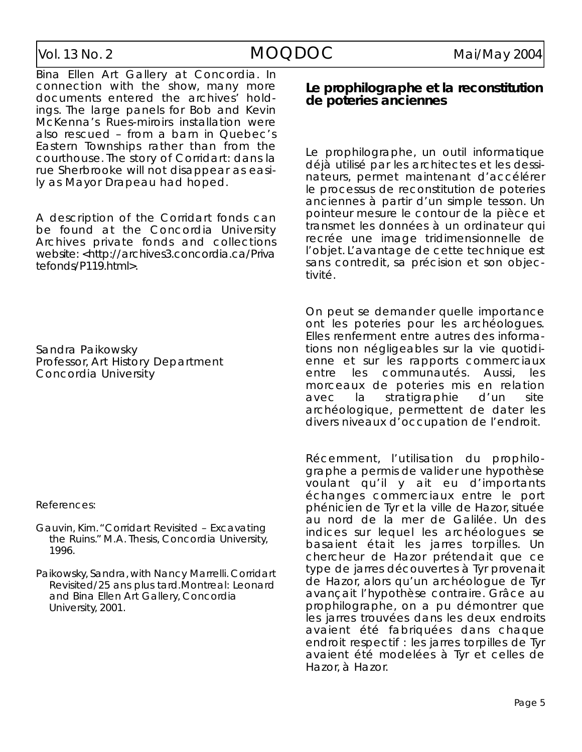Bina Ellen Art Gallery at Concordia. In connection with the show, many more documents entered the archives' holdings. The large panels for Bob and Kevin McKenna's *Rues-miroirs* installation were also rescued – from a barn in Quebec's Eastern Townships rather than from the courthouse. The story of *Corridart: dans la rue Sherbrooke* will not disappear as easily as Mayor Drapeau had hoped.

A description of the *Corridart* fonds can be found at the Concordia University Archives private fonds and collections website: <http://archives3.concordia.ca/Priva  $tefonds/P119.html$ .

Sandra Paikowsky Professor, Art History Department Concordia University

References:

- Gauvin, Kim. "Corridart Revisited Excavating the Ruins." M.A. Thesis, Concordia University, 1996.
- Paikowsky, Sandra, with Nancy Marrelli. Corridart *Revisited/25 ans plus tard. Montreal: Leonard* and Bina Ellen Art Gallery, Concordia University, 2001.

#### Le prophilographe et la reconstitution **de poteries anciennes**

Le prophilographe, un outil informatique déjà utilisé par les architectes et les dessinateurs, permet maintenant d'accélérer le processus de reconstitution de poteries anciennes à partir d'un simple tesson. Un pointeur mesure le contour de la pièce et transmet les données à un ordinateur qui recrée une image tridimensionnelle de l'objet. L'avantage de cette technique est sans contredit, sa précision et son objectivité.

On peut se demander quelle importance ont les poteries pour les archéologues. Elles renferment entre autres des informations non négligeables sur la vie quotidienne et sur les rapports commerciaux entre les communautés. Aussi, les morceaux de poteries mis en relation avec la stratigraphie d'un site archéologique, permettent de dater les divers niveaux d'occupation de l'endroit.

Récemment, l'utilisation du prophilographe a permis de valider une hypothèse voulant qu'il y ait eu d'importants échanges commerciaux entre le port phénicien de Tyr et la ville de Hazor, située au nord de la mer de Galilée. Un des indices sur lequel les archéologues se basaient était les jarres torpilles. Un chercheur de Hazor prétendait que ce type de jarres découvertes à Tyr provenait de Hazor, alors qu'un archéologue de Tyr avançait l'hypothèse contraire. Grâce au prophilographe, on a pu démontrer que les jarres trouvées dans les deux endroits avaient été fabriquées dans chaque endroit respectif : les jarres torpilles de Tyr a vaient été modelées à Tyr et celles de Hazor, à Hazor.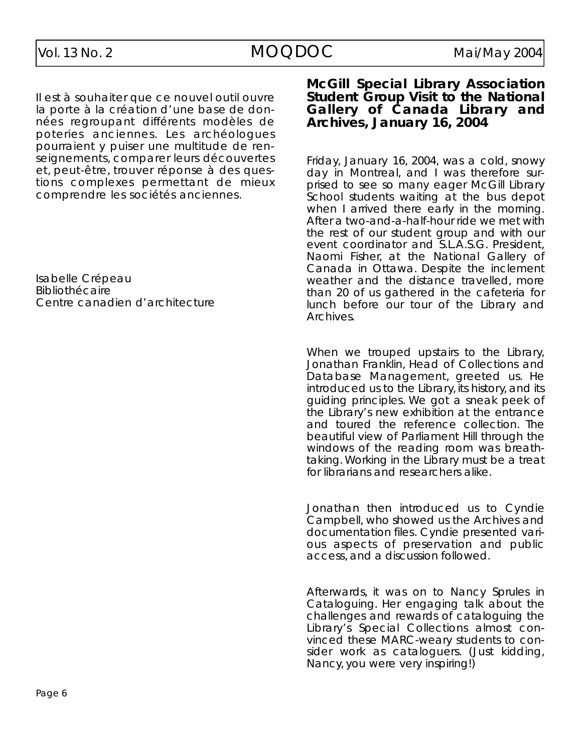Il est à souhaiter que ce nouvel outil ouvre la porte à la création d'une base de données regroupant différents modèles de poteries anciennes. Les archéologues pourraient y puiser une multitude de renseignements, comparer leurs découvertes et, peut-être, trouver réponse à des questions complexes permettant de mieux comprendre les sociétés anciennes.

Isabelle Crépeau Bibliothécaire Centre canadien d'architecture

#### **McGill Special Library Association Student Group Visit to the National Gallery of Canada Library and A rc h i ve s, Ja n u a ry 16, 2 0 0 4**

Friday, January 16, 2004, was a cold, snowy day in Montreal, and I was therefore surprised to see so many eager McGill Library School students waiting at the bus depot when I arrived there early in the morning. After a two-and-a-half-hour ride we met with the rest of our student group and with our event coordinator and S.L.A.S.G. President, Naomi Fisher, at the National Gallery of Canada in Ottawa. Despite the inclement weather and the distance travelled, more than 20 of us gathered in the cafeteria for lunch before our tour of the Library and Archives.

When we trouped upstairs to the Library, Jonathan Franklin, Head of Collections and Database Management, greeted us. He introduced us to the Library, its history, and its guiding principles. We got a sneak peek of the Library's new exhibition at the entrance and toured the reference collection. The beautiful view of Parliament Hill through the windows of the reading room was breathtaking. Working in the Library must be a treat for librarians and researchers alike.

Jonathan then introduced us to Cyndie Campbell, who showed us the Archives and documentation files. Cyndie presented various aspects of preservation and public access, and a discussion followed.

Afterwards, it was on to Nancy Sprules in Cataloguing. Her engaging talk about the challenges and rewards of cataloguing the Library's Special Collections almost convinced these MARC-weary students to consider work as cataloguers. (Just kidding, Nancy, you were very inspiring!)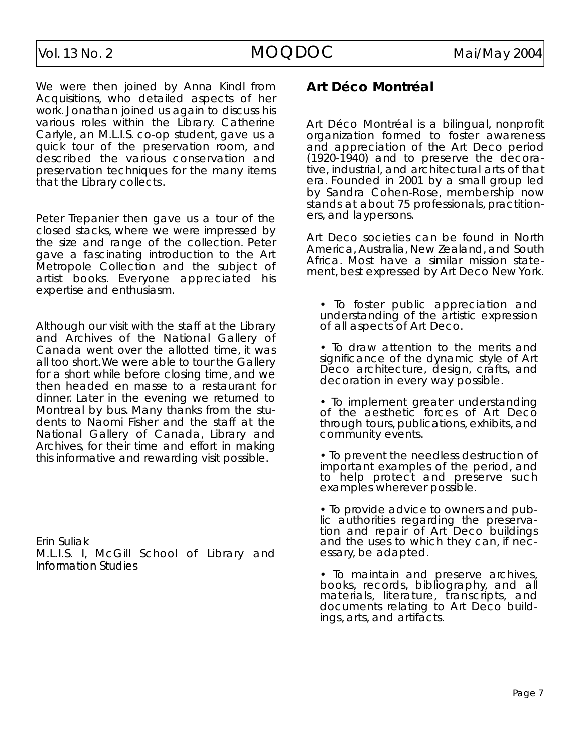We were then joined by Anna Kindl from Acquisitions, who detailed aspects of her work. Jonathan joined us again to discuss his various roles within the Library. Catherine Carlyle, an M.L.I.S. co-op student, gave us a quick tour of the preservation room, and described the various conservation and preservation techniques for the many items that the Library collects.

Peter Trepanier then gave us a tour of the closed stacks, where we were impressed by the size and range of the collection. Peter gave a fascinating introduction to the Art Metropole Collection and the subject of artist books. Everyone appreciated his expertise and enthusiasm.

Although our visit with the staff at the Library and Archives of the National Gallery of Canada went over the allotted time, it was all too short.We were able to tour the Gallery for a short while before closing time, and we then headed en masse to a restaurant for dinner. Later in the evening we returned to Montreal by bus. Many thanks from the students to Naomi Fisher and the staff at the National Gallery of Canada, Library and Archives, for their time and effort in making this informative and rewarding visit possible.

Erin Suliak M.L.I.S. I, McGill School of Library and Information Studies

#### **A rt Déco Montréal**

Art Déco Montréal is a bilingual, nonprofit organization formed to foster awareness and appreciation of the Art Deco period  $(1920-1940)$  and to preserve the decorative, industrial, and architectural arts of that era. Founded in 2001 by a small group led by Sandra Cohen-Rose, membership now stands at about 75 professionals, practitioners, and laypersons.

Art Deco societies can be found in North America, Australia, New Zealand, and South Africa. Most have a similar mission statement, best expressed by *Art Deco New York*.

- To foster public appreciation and understanding of the artistic expression of all aspects of Art Deco.
- To draw attention to the merits and significance of the dynamic style of Art Deco architecture, design, crafts, and decoration in every way possible.
- To implement greater understanding of the aesthetic forces of Art Deco through tours, publications, exhibits, and community events.
- To prevent the needless destruction of important examples of the period, and to help protect and preserve such examples wherever possible.
- To provide advice to owners and public authorities regarding the preservation and repair of Art Deco buildings and the uses to which they can, if necessary, be adapted.
- To maintain and preserve archives, books, records, bibliography, and all materials, literature, transcripts, and documents relating to Art Deco buildings, arts, and artifacts.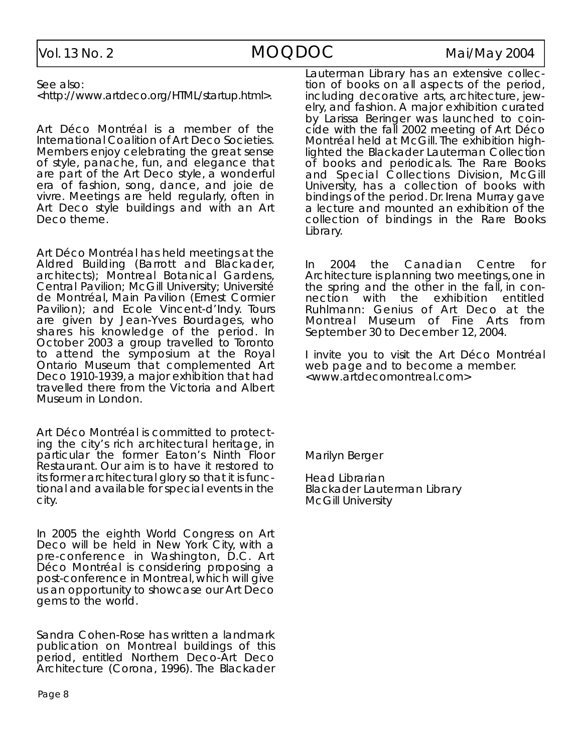See also:

<http://www.artdeco.org/HTML/startup.html>.

Art Déco Montréal is a member of the International Coalition of Art Deco Societies. Members enjoy celebrating the great sense of style, panache, fun, and elegance that are part of the Art Deco style, a wonderful era of fashion, song, dance, and joie de vivre. Meetings are held regularly, often in Art Deco style buildings and with an Art Deco theme.

Art Déco Montréal has held meetings at the Aldred Building (Barrott and Blackader, architects); Montreal Botanical Gardens, Central Pavilion; McGill University; Université de Montréal, Main Pavilion (Ernest Cormier Pavilion); and Ecole Vincent-d'Indy. Tours are given by Jean-Yves Bourdages, who shares his knowledge of the period. In October 2003 a group travelled to Toronto to attend the symposium at the Royal Ontario Museum that complemented Art *Deco 1910-1939*, a major exhibition that had travelled there from the Victoria and Albert Museum in London.

Art Déco Montréal is committed to protecting the city's rich architectural heritage, in particular the former Eaton's Ninth Floor Restaurant. Our aim is to have it restored to its former architectural glory so that it is functional and available for special events in the city.

In 2005 the eighth World Congress on Art Deco will be held in New York City, with a pre-conference in Washington, D.C. Art Déco Montréal is considering proposing a post-conference in Montreal, which will give us an opportunity to showcase our Art Deco gems to the world.

Sandra Cohen-Rose has written a landmark publication on Montreal buildings of this period, entitled Northern Deco-Art Deco Architecture (Corona, 1996). The Blackader

Lauterman Library has an extensive collection of books on all aspects of the period, including decorative arts, architecture, jewelry, and fashion. A major exhibition curated by Larissa Beringer was launched to coincide with the fall 2002 meeting of Art Déco Montréal held at McGill. The exhibition highlighted the Blackader Lauterman Collection of books and periodicals. The Rare Books and Special Collections Division, McGill University, has a collection of books with bindings of the period. Dr. Irena Murray gave a lecture and mounted an exhibition of the collection of bindings in the Rare Books Library.

In 2004 the Canadian Centre for Architecture is planning two meetings, one in the spring and the other in the fall, in connection with the exhibition entitled *Ruhlmann: Genius of Art Deco at the Montreal Museum of Fine Arts from* September 30 to December 12, 2004.

I invite you to visit the Art Déco Montréal web page and to become a member. <www.artdecomontreal.com>

Marilyn Berger

Head Librarian Blackader Lauterman Library McGill University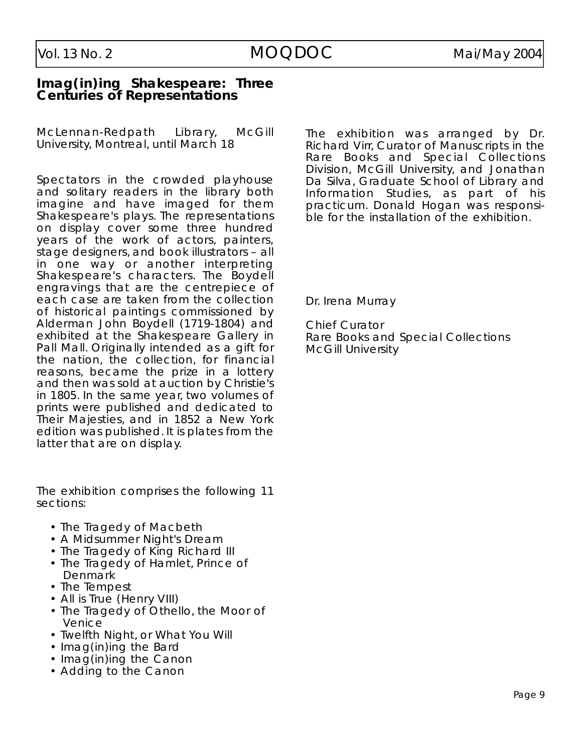#### **Imag(in)ing Shakespeare: Three Centuries of Representations**

McLennan-Redpath Library, McGill University, Montreal, until March 18

Spectators in the crowded playhouse and solitary readers in the library both imagine and have imaged for them Shakespeare's plays. The representations on display cover some three hundred years of the work of actors, painters, stage designers, and book illustrators – all in one way or another interpreting Shakespeare's characters. The Boydell engravings that are the centrepiece of each case are taken from the collection of historical paintings commissioned by Alderman John Boydell (1719-1804) and exhibited at the Shakespeare Gallery in Pall Mall. Originally intended as a gift for the nation, the collection, for financial reasons, became the prize in a lottery and then was sold at auction by Christie's in 1805. In the same year, two volumes of prints were published and dedicated to Their Majesties, and in 1852 a New York edition was published. It is plates from the latter that are on display.

The exhibition comprises the following 11 sections:

- The Tragedy of Macbeth
- A Midsummer Night's Dream
- The Tragedy of King Richard III
- The Tragedy of Hamlet, Prince of **Denmark**
- The Tempest
- All is True (Henry VIII)
- The Tragedy of Othello, the Moor of **Venice**
- Twelfth Night, or What You Will
- Imag(in)ing the Bard
- Imag(in)ing the Canon
- Adding to the Canon

The exhibition was arranged by Dr. Richard Virr, Curator of Manuscripts in the Rare Books and Special Collections Division, McGill University, and Jonathan Da Silva, Graduate School of Library and Information Studies, as part of his practicum. Donald Hogan was responsible for the installation of the exhibition.

Dr. Irena Murray

**Chief Curator** Rare Books and Special Collections McGill University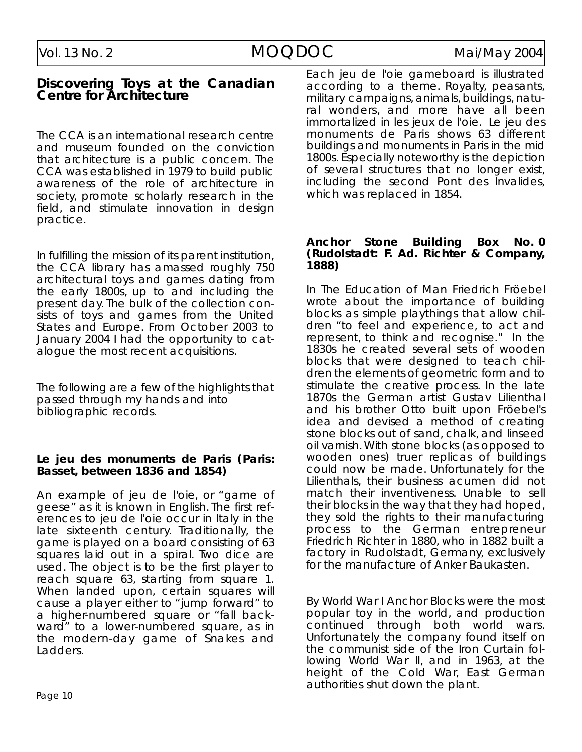#### **Discovering Toys at the Canadian Centre for Architecture**

The CCA is an international research centre and museum founded on the conviction that architecture is a public concern. The C CA was established in 1979 to build public awareness of the role of architecture in society, promote scholarly research in the field, and stimulate innovation in design practice.

In fulfilling the mission of its parent institution, the CCA library has amassed roughly 750 architectural toys and games dating from the early 1800s, up to and including the present day. The bulk of the collection consists of toys and games from the United States and Europe. From October 2003 to January 2004 I had the opportunity to catalogue the most recent acquisitions.

The following are a few of the highlights that passed through my hands and into bibliographic records.

#### Le jeu des monuments de Paris (Paris: **B a s s e t , b e t ween 1836 and 1854)**

An example of *jeu de l'oie*, or " game of geese" as it is known in English. The first refe rences to *jeu de l'oie* occur in Italy in the late sixteenth century. Traditionally, the game is played on a board consisting of 63 squares laid out in a spiral. Two dice are used. The object is to be the first player to reach square 63, starting from square 1. When landed upon, certain squares will cause a player either to "jump forward" to a higher-numbered square or " fall backward" to a lower-numbered square, as in the modern-day game of Snakes and Ladders.

Each *jeu de l'oie* gameboard is illustrated according to a theme. Royalty, peasants, military campaigns, animals, buildings, natural wonders, and more have all been immortalized in les jeux de l'oie. Le jeu des monuments de Paris shows 63 different buildings and monuments in Paris in the mid 1800s. Especially noteworthy is the depiction of several structures that no longer exist, including the second *Pont des Invalides*, which was replaced in 1854.

#### **Anchor Stone Building Box No. 0 (Rudolstadt: F. A d . Richter & Company, 1 8 8 8 )**

In *The Education of Man* Friedrich Fröebel wrote about the importance of building blocks as simple playthings that allow children "to feel and experience, to act and represent, to think and recognise." In the 1830s he created several sets of wooden blocks that were designed to teach children the elements of geometric form and to stimulate the creative process. In the late 1870s the German artist Gustav Lilienthal and his brother Otto built upon Fröebel's idea and devised a method of creating stone blocks out of sand, chalk, and linseed oil varnish. With stone blocks (as opposed to wooden ones) truer replicas of buildings could now be made. Unfortunately for the Lilienthals, their business acumen did not match their inventiveness. Unable to sell their blocks in the way that they had hoped, they sold the rights to their manufacturing process to the German entrepreneur Friedrich Richter in 1880, who in 1882 built a factory in Rudolstadt, Germany, exclusively for the manufacture of *Anker Baukasten*.

By World War I Anchor Blocks were the most popular toy in the world, and production continued through both world wars. Unfortunately the company found itself on the communist side of the Iron Curtain following World War II, and in 1963, at the height of the Cold War, East German authorities shut down the plant.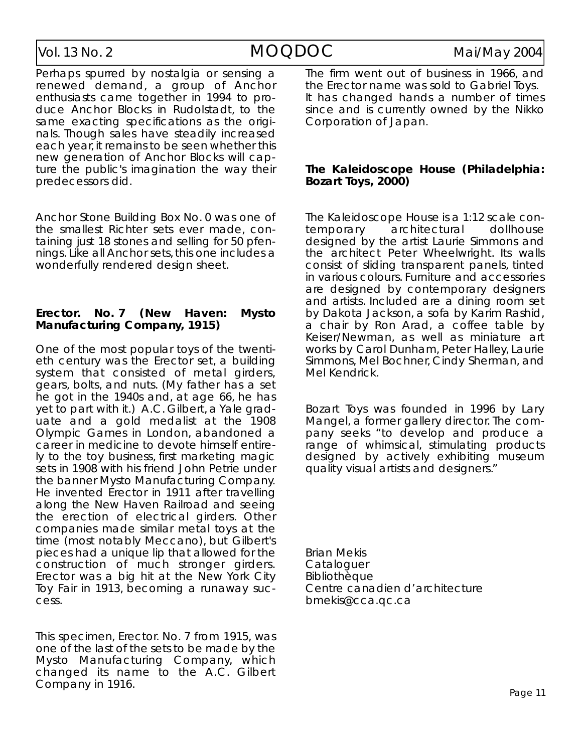Perhaps spurred by nostalgia or sensing a renewed demand, a group of Anchor enthusiasts came together in 1994 to produce Anchor Blocks in Rudolstadt, to the same exacting specifications as the originals. Though sales have steadily increased each year, it remains to be seen whether this new generation of Anchor Blocks will capture the public's imagination the way their predecessors did.

Anchor Stone Building Box No. 0 was one of the smallest Richter sets ever made, containing just 18 stones and selling for 50 pfennings. Like all Anchor sets, this one includes a wonderfully rendered design sheet.

#### **Erector. No. 7 (New Haven: Mysto Manufacturing Company, 1915)**

One of the most popular toys of the twentieth century was the Erector set, a building system that consisted of metal girders, gears, bolts, and nuts. (My father has a set he got in the 1940s and, at age 66, he has yet to part with it.)  $A.C.$  Gilbert, a Yale graduate and a gold medalist at the 1908 Olympic Games in London, abandoned a career in medicine to devote himself entirely to the toy business, first marketing magic sets in 1908 with his friend John Petrie under the banner Mysto Manufacturing Company. He invented Erector in 1911 after travelling along the New Haven Railroad and seeing the erection of electrical girders. Other companies made similar metal toys at the time (most notably Meccano), but Gilbert's pieces had a unique lip that allowed for the construction of much stronger girders. Erector was a big hit at the New York City Toy Fair in 1913, becoming a runaway success.

This specimen, Erector. No. 7 from 1915, was one of the last of the sets to be made by the Mysto Manufacturing Company, which changed its name to the A.C. Gilbert Company in 1916.

The firm went out of business in 1966, and the Erector name was sold to Gabriel Toys. It has changed hands a number of times since and is currently owned by the Nikko Corporation of Japan.

#### *The Kaleidoscope House (Philadelphia:* **Bozart Toys, 2000)**

The Kaleidoscope House is a 1:12 scale contemporary architectural dollhouse designed by the artist Laurie Simmons and the architect Peter Wheelwright. Its walls consist of sliding transparent panels, tinted in various colours. Furniture and accessories are designed by contemporary designers and artists. Included are a dining room set by Dakota Jackson, a sofa by Karim Rashid, a chair by Ron Arad, a coffee table by Keiser/Newman, as well as miniature art works by Carol Dunham, Peter Halley, Laurie Simmons, Mel Bochner, Cindy Sherman, and Mel Kendrick.

Bozart Toys was founded in 1996 by Lary Mangel, a former gallery director. The company seeks "to develop and produce a range of whimsical, stimulating products designed by actively exhibiting museum quality visual artists and designers."

**Brian Mekis** Cataloguer **Bibliothèque** Centre canadien d'architecture b m e k is @ c c a . q c . c a